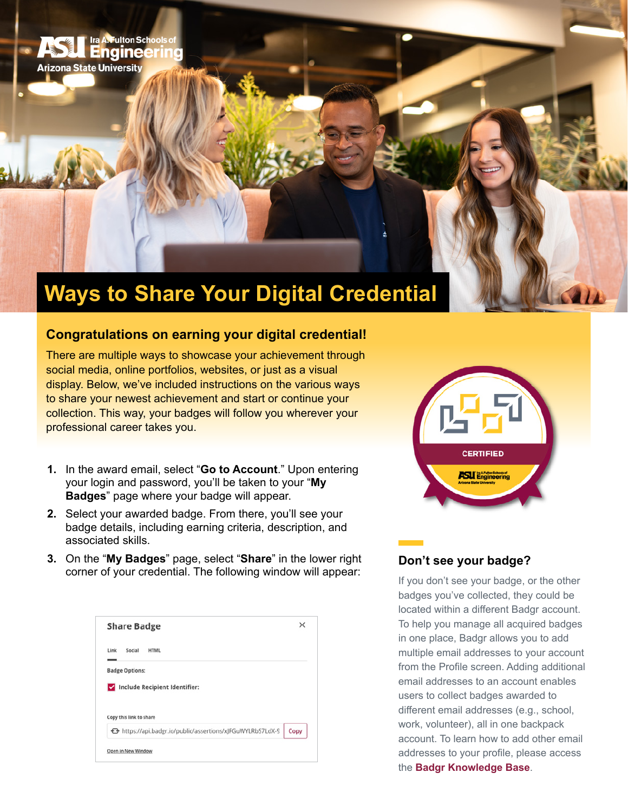

# **Congratulations on earning your digital credential!**

There are multiple ways to showcase your achievement through social media, online portfolios, websites, or just as a visual display. Below, we've included instructions on the various ways to share your newest achievement and start or continue your collection. This way, your badges will follow you wherever your professional career takes you.

- **1.** In the award email, select "**Go to Account**." Upon entering your login and password, you'll be taken to your "**My Badges**" page where your badge will appear.
- **2.** Select your awarded badge. From there, you'll see your badge details, including earning criteria, description, and associated skills.
- **3.** On the "**My Badges**" page, select "**Share**" in the lower right corner of your credential. The following window will appear:

| <b>Share Badge</b>            | × |
|-------------------------------|---|
| Link<br>Social<br><b>HTML</b> |   |
|                               |   |
| <b>Badge Options:</b>         |   |
| Include Recipient Identifier: |   |
|                               |   |
| Copy this link to share       |   |



#### **Don't see your badge?**

If you don't see your badge, or the other badges you've collected, they could be located within a different Badgr account. To help you manage all acquired badges in one place, Badgr allows you to add multiple email addresses to your account from the Profile screen. Adding additional email addresses to an account enables users to collect badges awarded to different email addresses (e.g., school, work, volunteer), all in one backpack account. To learn how to add other email addresses to your profile, please access the **[Badgr Knowledge Base](https://support.badgr.com/en/knowledge/managing-your-badgr-account#change-primary-address)**.